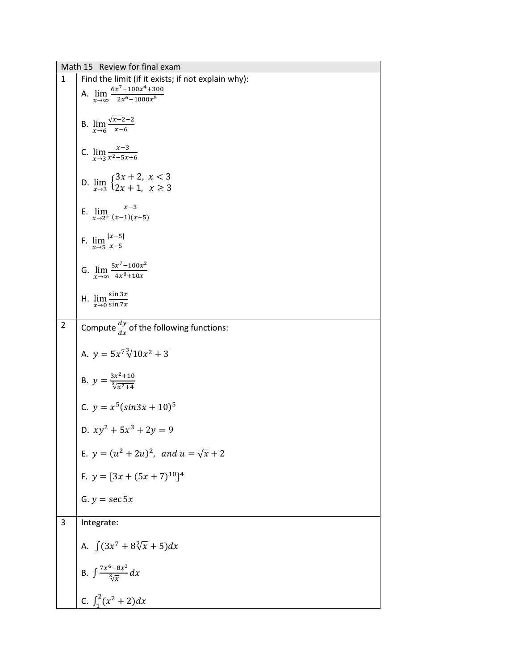|                | Math 15 Review for final exam                                                                              |
|----------------|------------------------------------------------------------------------------------------------------------|
| 1              | Find the limit (if it exists; if not explain why):                                                         |
|                | A. $\lim_{x\to\infty} \frac{6x^7 - 100x^4 + 300}{2x^6 - 1000x^5}$                                          |
|                |                                                                                                            |
|                |                                                                                                            |
|                | B. $\lim_{x \to 6} \frac{\sqrt{x-2}-2}{x-6}$                                                               |
|                |                                                                                                            |
|                | C. $\lim_{x\to 3} \frac{x-3}{x^2-5x+6}$                                                                    |
|                |                                                                                                            |
|                |                                                                                                            |
|                | D. $\lim_{x\to 3} \begin{cases} 3x + 2, & x < 3 \\ 2x + 1, & x \ge 3 \end{cases}$                          |
|                |                                                                                                            |
|                | E. $\lim_{x\to 2^+} \frac{x-3}{(x-1)(x-5)}$                                                                |
|                |                                                                                                            |
|                |                                                                                                            |
|                | F. $\lim_{x\to 5} \frac{ x-5 }{x-5}$                                                                       |
|                |                                                                                                            |
|                | G. $\lim_{x\to\infty} \frac{5x^7 - 100x^2}{4x^8 + 10x}$                                                    |
|                |                                                                                                            |
|                | H. $\lim_{x\to 0} \frac{\sin 3x}{\sin 7x}$                                                                 |
|                |                                                                                                            |
|                |                                                                                                            |
| $\overline{2}$ | Compute $\frac{dy}{dx}$ of the following functions:                                                        |
|                |                                                                                                            |
|                | A. $y = 5x^7 \sqrt[3]{10x^2 + 3}$                                                                          |
|                |                                                                                                            |
|                | B. $y = \frac{3x^2 + 10}{\sqrt[3]{x^2 + 4}}$                                                               |
|                |                                                                                                            |
|                | C. $y = x^5(sin3x + 10)^5$                                                                                 |
|                |                                                                                                            |
|                | D. $xy^2 + 5x^3 + 2y = 9$                                                                                  |
|                |                                                                                                            |
|                | E. $y = (u^2 + 2u)^2$ , and $u = \sqrt{x} + 2$                                                             |
|                |                                                                                                            |
|                |                                                                                                            |
|                |                                                                                                            |
|                |                                                                                                            |
|                |                                                                                                            |
|                |                                                                                                            |
|                |                                                                                                            |
|                |                                                                                                            |
|                |                                                                                                            |
|                | B. $\int \frac{7x^6 - 8x^3}{\sqrt[3]{x}} dx$                                                               |
|                |                                                                                                            |
|                | C. $\int_1^2 (x^2 + 2) dx$                                                                                 |
| 3              | F. $y = [3x + (5x + 7)^{10}]^4$<br>G. $y = \sec 5x$<br>Integrate:<br>A. $\int (3x^7 + 8\sqrt[3]{x} + 5)dx$ |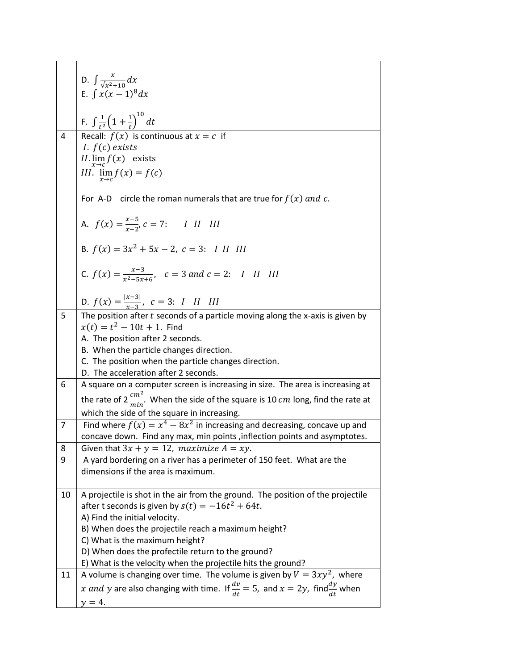|    | D. $\int \frac{x}{\sqrt{x^2+10}} dx$                                                                   |
|----|--------------------------------------------------------------------------------------------------------|
|    | E. $\int x(x-1)^8 dx$                                                                                  |
|    | F. $\int \frac{1}{t^2} \left(1 + \frac{1}{t}\right)^{10} dt$                                           |
| 4  | Recall: $f(x)$ is continuous at $x = c$ if                                                             |
|    | <i>I.</i> $f(c)$ exists<br>II. $\lim_{x\to c} f(x)$ exists                                             |
|    | III. $\lim_{x\to c} f(x) = f(c)$                                                                       |
|    |                                                                                                        |
|    | For A-D circle the roman numerals that are true for $f(x)$ and c.                                      |
|    | A. $f(x) = \frac{x-5}{x-2}$ , $c = 7$ : I II III                                                       |
|    | B. $f(x) = 3x^2 + 5x - 2$ , $c = 3$ : <i>I II III</i>                                                  |
|    | C. $f(x) = \frac{x-3}{x^2-5x+6}$ , $c = 3$ and $c = 2$ : I II III                                      |
|    | D. $f(x) = \frac{ x-3 }{x-3}$ , $c = 3$ : <i>I II III</i>                                              |
| 5  | The position after $t$ seconds of a particle moving along the x-axis is given by                       |
|    | $x(t) = t^2 - 10t + 1$ . Find                                                                          |
|    | A. The position after 2 seconds.<br>B. When the particle changes direction.                            |
|    | C. The position when the particle changes direction.                                                   |
|    | D. The acceleration after 2 seconds.                                                                   |
| 6  | A square on a computer screen is increasing in size. The area is increasing at                         |
|    | the rate of 2 $\frac{cm^2}{min}$ . When the side of the square is 10 cm long, find the rate at         |
|    | which the side of the square in increasing.                                                            |
| 7  | Find where $f(x) = x^4 - 8x^2$ in increasing and decreasing, concave up and                            |
|    | concave down. Find any max, min points, inflection points and asymptotes.                              |
| 8  | Given that $3x + y = 12$ , maximize $A = xy$ .                                                         |
| 9  | A yard bordering on a river has a perimeter of 150 feet. What are the                                  |
|    | dimensions if the area is maximum.                                                                     |
| 10 | A projectile is shot in the air from the ground. The position of the projectile                        |
|    | after t seconds is given by $s(t) = -16t^2 + 64t$ .                                                    |
|    | A) Find the initial velocity.                                                                          |
|    | B) When does the projectile reach a maximum height?                                                    |
|    | C) What is the maximum height?                                                                         |
|    | D) When does the profectile return to the ground?                                                      |
|    | E) What is the velocity when the projectile hits the ground?                                           |
| 11 | A volume is changing over time. The volume is given by $V = 3xy^2$ , where                             |
|    | x and y are also changing with time. If $\frac{dv}{dt} = 5$ , and $x = 2y$ , find $\frac{dy}{dt}$ when |
|    | $y=4$ .                                                                                                |